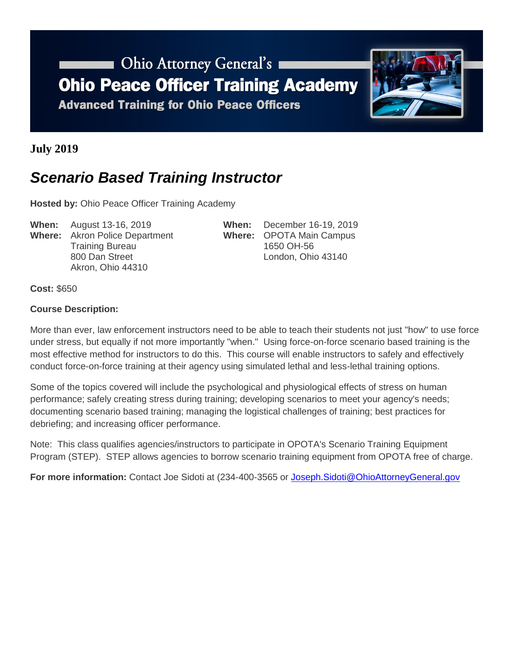# Ohio Attorney General's **Ohio Peace Officer Training Academy**

**Advanced Training for Ohio Peace Officers** 



**July 2019**

### *Scenario Based Training Instructor*

**Hosted by:** Ohio Peace Officer Training Academy

**When:** August 13-16, 2019 **When:** December 16-19, 2019 **Where:** Akron Police Department **Where:** OPOTA Main Campus Training Bureau 1650 OH-56 800 Dan Street London, Ohio 43140 Akron, Ohio 44310

**Cost:** \$650

#### **Course Description:**

More than ever, law enforcement instructors need to be able to teach their students not just "how" to use force under stress, but equally if not more importantly "when." Using force-on-force scenario based training is the most effective method for instructors to do this. This course will enable instructors to safely and effectively conduct force-on-force training at their agency using simulated lethal and less-lethal training options.

Some of the topics covered will include the psychological and physiological effects of stress on human performance; safely creating stress during training; developing scenarios to meet your agency's needs; documenting scenario based training; managing the logistical challenges of training; best practices for debriefing; and increasing officer performance.

Note: This class qualifies agencies/instructors to participate in OPOTA's Scenario Training Equipment Program (STEP). STEP allows agencies to borrow scenario training equipment from OPOTA free of charge.

**For more information:** Contact Joe Sidoti at (234-400-3565 or [Joseph.Sidoti@OhioAttorneyGeneral.gov](mailto:Joseph.Sidoti@OhioAttorneyGeneral.gov)